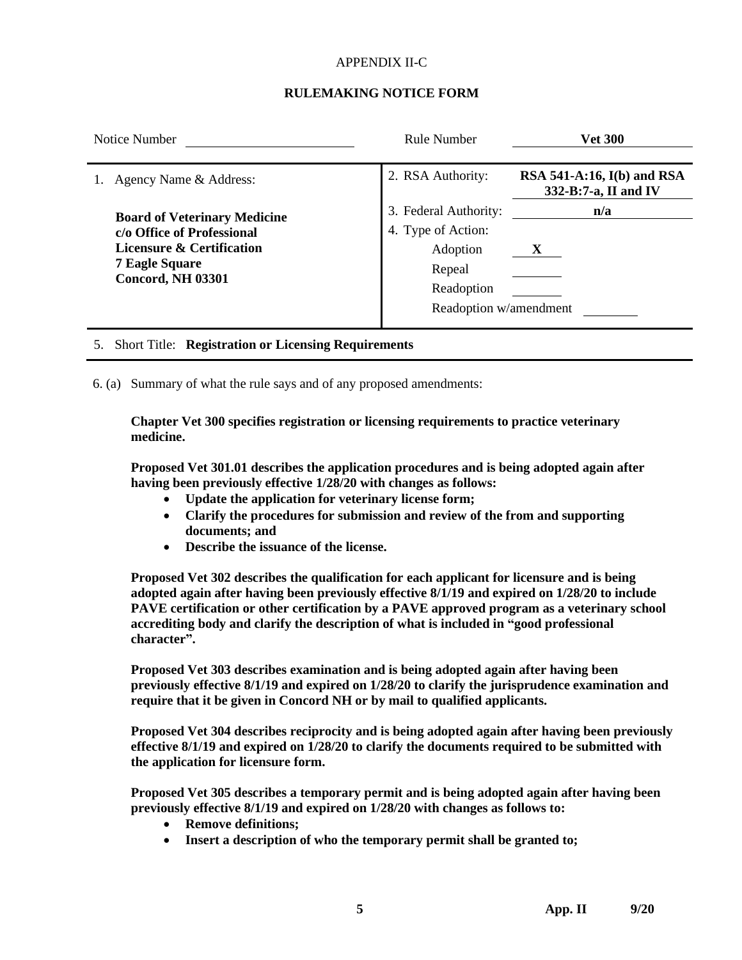## APPENDIX II-C

## **RULEMAKING NOTICE FORM**

| Notice Number                                                                                                                                       | <b>Rule Number</b>                                                                                        | <b>Vet 300</b>                                       |
|-----------------------------------------------------------------------------------------------------------------------------------------------------|-----------------------------------------------------------------------------------------------------------|------------------------------------------------------|
| Agency Name & Address:                                                                                                                              | 2. RSA Authority:                                                                                         | RSA 541-A:16, $I(b)$ and RSA<br>332-B:7-a, II and IV |
| <b>Board of Veterinary Medicine</b><br>c/o Office of Professional<br>Licensure & Certification<br><b>7 Eagle Square</b><br><b>Concord, NH 03301</b> | 3. Federal Authority:<br>4. Type of Action:<br>Adoption<br>Repeal<br>Readoption<br>Readoption w/amendment | n/a                                                  |

5. Short Title: **Registration or Licensing Requirements**

6. (a) Summary of what the rule says and of any proposed amendments:

**Chapter Vet 300 specifies registration or licensing requirements to practice veterinary medicine.**

**Proposed Vet 301.01 describes the application procedures and is being adopted again after having been previously effective 1/28/20 with changes as follows:**

- **Update the application for veterinary license form;**
- **Clarify the procedures for submission and review of the from and supporting documents; and**
- **Describe the issuance of the license.**

**Proposed Vet 302 describes the qualification for each applicant for licensure and is being adopted again after having been previously effective 8/1/19 and expired on 1/28/20 to include PAVE certification or other certification by a PAVE approved program as a veterinary school accrediting body and clarify the description of what is included in "good professional character".**

**Proposed Vet 303 describes examination and is being adopted again after having been previously effective 8/1/19 and expired on 1/28/20 to clarify the jurisprudence examination and require that it be given in Concord NH or by mail to qualified applicants.**

**Proposed Vet 304 describes reciprocity and is being adopted again after having been previously effective 8/1/19 and expired on 1/28/20 to clarify the documents required to be submitted with the application for licensure form.**

**Proposed Vet 305 describes a temporary permit and is being adopted again after having been previously effective 8/1/19 and expired on 1/28/20 with changes as follows to:**

- **Remove definitions;**
- **Insert a description of who the temporary permit shall be granted to;**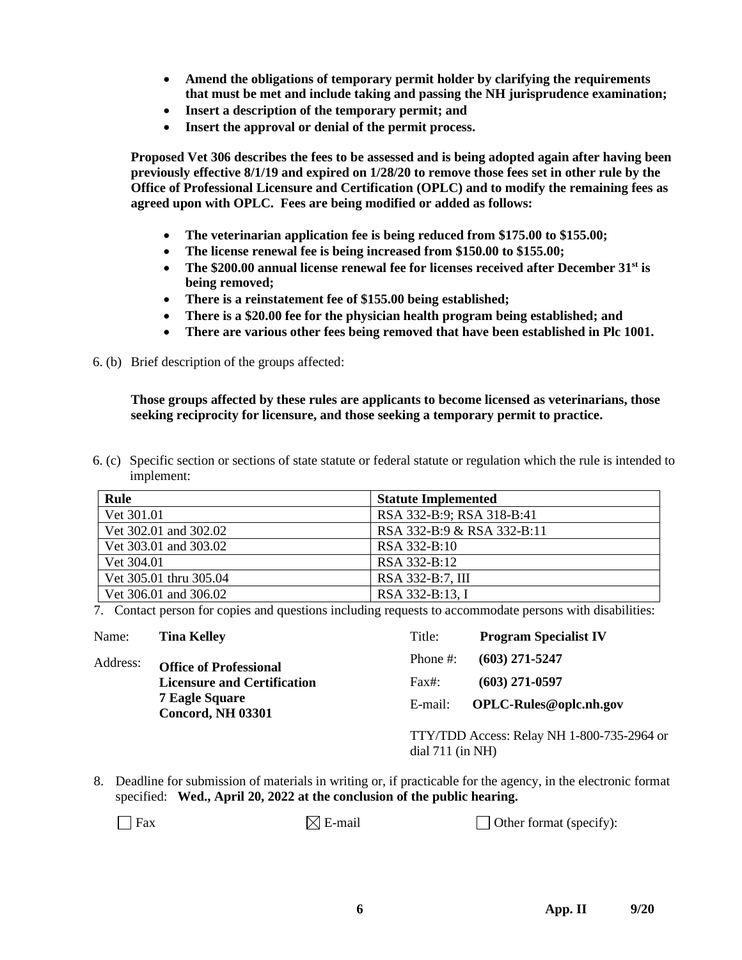- **Amend the obligations of temporary permit holder by clarifying the requirements that must be met and include taking and passing the NH jurisprudence examination;**
- **Insert a description of the temporary permit; and**
- **Insert the approval or denial of the permit process.**

**Proposed Vet 306 describes the fees to be assessed and is being adopted again after having been previously effective 8/1/19 and expired on 1/28/20 to remove those fees set in other rule by the Office of Professional Licensure and Certification (OPLC) and to modify the remaining fees as agreed upon with OPLC. Fees are being modified or added as follows:**

- **The veterinarian application fee is being reduced from \$175.00 to \$155.00;**
- **The license renewal fee is being increased from \$150.00 to \$155.00;**
- **The \$200.00 annual license renewal fee for licenses received after December 31st is being removed;**
- **There is a reinstatement fee of \$155.00 being established;**
- **There is a \$20.00 fee for the physician health program being established; and**
- **There are various other fees being removed that have been established in Plc 1001.**

6. (b) Brief description of the groups affected:

**Those groups affected by these rules are applicants to become licensed as veterinarians, those seeking reciprocity for licensure, and those seeking a temporary permit to practice.**

6. (c) Specific section or sections of state statute or federal statute or regulation which the rule is intended to implement:

| Rule                   | <b>Statute Implemented</b> |
|------------------------|----------------------------|
| Vet 301.01             | RSA 332-B:9; RSA 318-B:41  |
| Vet 302.01 and 302.02  | RSA 332-B:9 & RSA 332-B:11 |
| Vet 303.01 and 303.02  | RSA 332-B:10               |
| Vet 304.01             | RSA 332-B:12               |
| Vet 305.01 thru 305.04 | RSA 332-B:7, III           |
| Vet 306.01 and 306.02  | RSA 332-B:13, I            |

7. Contact person for copies and questions including requests to accommodate persons with disabilities:

| Name:                                                                                                                                | <b>Tina Kelley</b> | Title:                                                           | <b>Program Specialist IV</b>  |
|--------------------------------------------------------------------------------------------------------------------------------------|--------------------|------------------------------------------------------------------|-------------------------------|
| Address:<br><b>Office of Professional</b><br><b>Licensure and Certification</b><br><b>7 Eagle Square</b><br><b>Concord, NH 03301</b> |                    | Phone $\#$ :                                                     | $(603)$ 271-5247              |
|                                                                                                                                      |                    | Fast:                                                            | $(603)$ 271-0597              |
|                                                                                                                                      |                    | E-mail:                                                          | <b>OPLC-Rules@oplc.nh.gov</b> |
|                                                                                                                                      |                    | TTY/TDD Access: Relay NH 1-800-735-2964 or<br>dial $711$ (in NH) |                               |

8. Deadline for submission of materials in writing or, if practicable for the agency, in the electronic format specified: **Wed., April 20, 2022 at the conclusion of the public hearing.**

 $\Box$  Fax  $\Box$  E-mail  $\Box$  Other format (specify):